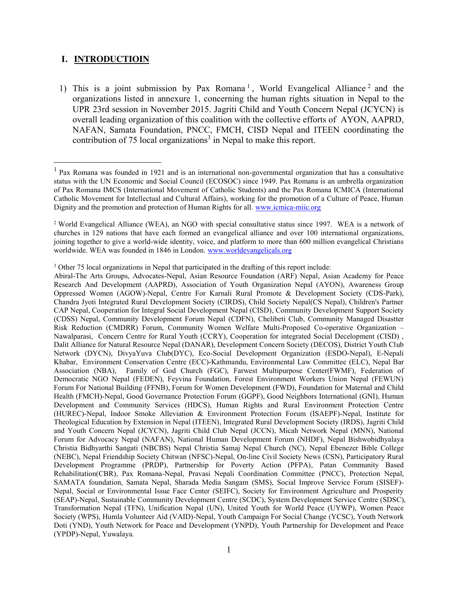### **I. INTRODUCTIOIN**

1) This is a joint submission by Pax Romana<sup>1</sup>, World Evangelical Alliance<sup>2</sup> and the organizations listed in annexure 1, concerning the human rights situation in Nepal to the UPR 23rd session in November 2015. Jagriti Child and Youth Concern Nepal (JCYCN) is overall leading organization of this coalition with the collective efforts of AYON, AAPRD, NAFAN, Samata Foundation, PNCC, FMCH, CISD Nepal and ITEEN coordinating the contribution of 75 local organizations<sup>3</sup> in Nepal to make this report.

<sup>3</sup> Other 75 local organizations in Nepal that participated in the drafting of this report include:

<sup>&</sup>lt;sup>1</sup> Pax Romana was founded in 1921 and is an international non-governmental organization that has a consultative status with the UN Economic and Social Council (ECOSOC) since 1949. Pax Romana is an umbrella organization of Pax Romana IMCS (International Movement of Catholic Students) and the Pax Romana ICMICA (International Catholic Movement for Intellectual and Cultural Affairs), working for the promotion of a Culture of Peace, Human Dignity and the promotion and protection of Human Rights for all. www.icmica-miic.org

<sup>2</sup> World Evangelical Alliance (WEA), an NGO with special consultative status since 1997. WEA is a network of churches in 129 nations that have each formed an evangelical alliance and over 100 international organizations, joining together to give a world-wide identity, voice, and platform to more than 600 million evangelical Christians worldwide. WEA was founded in 1846 in London. www.worldevangelicals.org

Abiral-The Arts Groups, Advocates-Nepal, Asian Resource Foundation (ARF) Nepal, Asian Academy for Peace Research And Development (AAPRD), Association of Youth Organization Nepal (AYON), Awareness Group Oppressed Women (AGOW)-Nepal, Centre For Karnali Rural Promote & Development Society (CDS-Park), Chandra Jyoti Integrated Rural Development Society (CIRDS), Child Society Nepal(CS Nepal), Children's Partner CAP Nepal, Cooperation for Integral Social Development Nepal (CISD), Community Development Support Society (CDSS) Nepal, Community Development Forum Nepal (CDFN), Chelibeti Club, Community Managed Disastter Risk Reduction (CMDRR) Forum, Community Women Welfare Multi-Proposed Co-operative Organization – Nawalparasi, Concern Centre for Rural Youth (CCRY), Cooperation for integrated Social Decelopment (CISD) , Dalit Alliance for Natural Resource Nepal (DANAR), Development Concern Society (DECOS), District Youth Club Network (DYCN), DivyaYuva Club(DYC), Eco-Social Development Organization (ESDO-Nepal), E-Nepali Khabar, Environment Conservation Centre (ECC)-Kathmandu, Environmental Law Committee (ELC), Nepal Bar Association (NBA), Family of God Church (FGC), Farwest Multipurpose Center(FWMF), Federation of Democratic NGO Nepal (FEDEN), Feyvina Foundation, Forest Environment Workers Union Nepal (FEWUN) Forum For National Building (FFNB), Forum for Women Development (FWD), Foundation for Maternal and Child Health (FMCH)-Nepal, Good Governance Protection Forum (GGPF), Good Neighbors International (GNI), Human Development and Community Services (HDCS), Human Rights and Rural Environment Protection Centre (HUREC)-Nepal, Indoor Smoke Alleviation & Environment Protection Forum (ISAEPF)-Nepal, Institute for Theological Education by Extension in Nepal (ITEEN), Integrated Rural Development Society (IRDS), Jagriti Child and Youth Concern Nepal (JCYCN), Jagriti Child Club Nepal (JCCN), Micah Network Nepal (MNN), National Forum for Advocacy Nepal (NAFAN), National Human Development Forum (NHDF), Nepal Bishwobidhyalaya Christia Bidhyarthi Sangati (NBCBS) Nepal Christia Samaj Nepal Church (NC), Nepal Ebenezer Bible College (NEBC), Nepal Friendship Society Chitwan (NFSC)-Nepal, On-line Civil Society News (CSN), Participatory Rural Development Programme (PRDP), Partnership for Poverty Action (PFPA), Patan Community Based Rehabilitation(CBR), Pax Romana-Nepal, Pravasi Nepali Coordination Committee (PNCC), Protection Nepal, SAMATA foundation, Samata Nepal, Sharada Media Sangam (SMS), Social Improve Service Forum (SISEF)- Nepal, Social or Environmental Issue Face Center (SEIFC), Society for Environment Agriculture and Prosperity (SEAP)-Nepal, Sustainable Community Development Centre (SCDC), System Development Service Centre (SDSC), Transformation Nepal (TFN), Unification Nepal (UN), United Youth for World Peace (UYWP), Women Peace Society (WPS), Humla Volunteer Aid (VAID)-Nepal, Youth Campaign For Social Change (YCSC), Youth Network Doti (YND), Youth Network for Peace and Development (YNPD), Youth Partnership for Development and Peace (YPDP)-Nepal, Yuwalaya.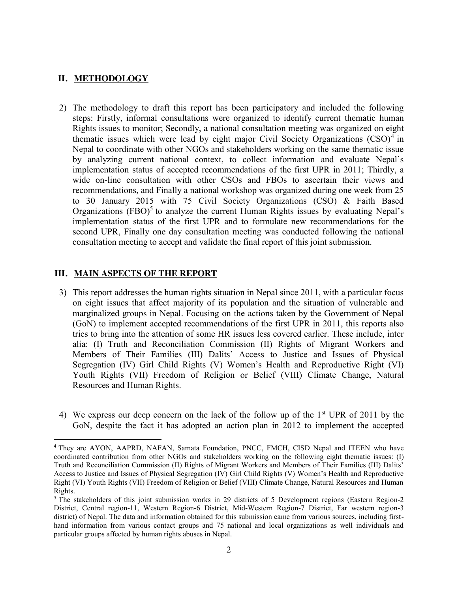# **II. METHODOLOGY**

2) The methodology to draft this report has been participatory and included the following steps: Firstly, informal consultations were organized to identify current thematic human Rights issues to monitor; Secondly, a national consultation meeting was organized on eight thematic issues which were lead by eight major Civil Society Organizations  $(CSO)^4$  in Nepal to coordinate with other NGOs and stakeholders working on the same thematic issue by analyzing current national context, to collect information and evaluate Nepal's implementation status of accepted recommendations of the first UPR in 2011; Thirdly, a wide on-line consultation with other CSOs and FBOs to ascertain their views and recommendations, and Finally a national workshop was organized during one week from 25 to 30 January 2015 with 75 Civil Society Organizations (CSO) & Faith Based Organizations  $(FBO)^5$  to analyze the current Human Rights issues by evaluating Nepal's implementation status of the first UPR and to formulate new recommendations for the second UPR, Finally one day consultation meeting was conducted following the national consultation meeting to accept and validate the final report of this joint submission.

### **III. MAIN ASPECTS OF THE REPORT**

- 3) This report addresses the human rights situation in Nepal since 2011, with a particular focus on eight issues that affect majority of its population and the situation of vulnerable and marginalized groups in Nepal. Focusing on the actions taken by the Government of Nepal (GoN) to implement accepted recommendations of the first UPR in 2011, this reports also tries to bring into the attention of some HR issues less covered earlier. These include, inter alia: (I) Truth and Reconciliation Commission (II) Rights of Migrant Workers and Members of Their Families (III) Dalits' Access to Justice and Issues of Physical Segregation (IV) Girl Child Rights (V) Women's Health and Reproductive Right (VI) Youth Rights (VII) Freedom of Religion or Belief (VIII) Climate Change, Natural Resources and Human Rights.
- 4) We express our deep concern on the lack of the follow up of the 1st UPR of 2011 by the GoN, despite the fact it has adopted an action plan in 2012 to implement the accepted

 <sup>4</sup> They are AYON, AAPRD, NAFAN, Samata Foundation, PNCC, FMCH, CISD Nepal and ITEEN who have coordinated contribution from other NGOs and stakeholders working on the following eight thematic issues: (I) Truth and Reconciliation Commission (II) Rights of Migrant Workers and Members of Their Families (III) Dalits' Access to Justice and Issues of Physical Segregation (IV) Girl Child Rights (V) Women's Health and Reproductive Right (VI) Youth Rights (VII) Freedom of Religion or Belief (VIII) Climate Change, Natural Resources and Human Rights.

<sup>&</sup>lt;sup>5</sup> The stakeholders of this joint submission works in 29 districts of 5 Development regions (Eastern Region-2 District, Central region-11, Western Region-6 District, Mid-Western Region-7 District, Far western region-3 district) of Nepal. The data and information obtained for this submission came from various sources, including firsthand information from various contact groups and 75 national and local organizations as well individuals and particular groups affected by human rights abuses in Nepal.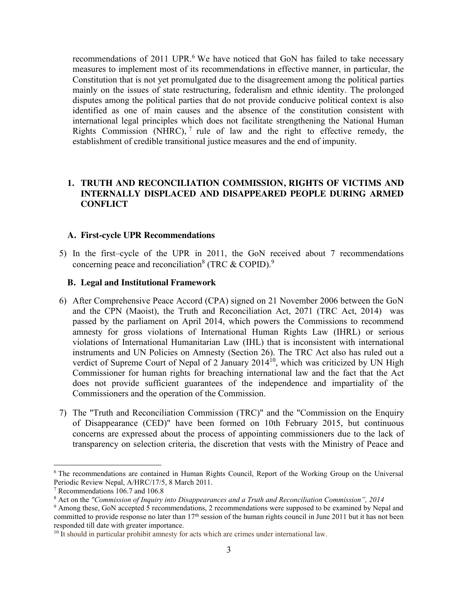recommendations of 2011 UPR.<sup>6</sup> We have noticed that GoN has failed to take necessary measures to implement most of its recommendations in effective manner, in particular, the Constitution that is not yet promulgated due to the disagreement among the political parties mainly on the issues of state restructuring, federalism and ethnic identity. The prolonged disputes among the political parties that do not provide conducive political context is also identified as one of main causes and the absence of the constitution consistent with international legal principles which does not facilitate strengthening the National Human Rights Commission (NHRC),  $^7$  rule of law and the right to effective remedy, the establishment of credible transitional justice measures and the end of impunity.

# **1. TRUTH AND RECONCILIATION COMMISSION, RIGHTS OF VICTIMS AND INTERNALLY DISPLACED AND DISAPPEARED PEOPLE DURING ARMED CONFLICT**

# **A. First-cycle UPR Recommendations**

5) In the first–cycle of the UPR in 2011, the GoN received about 7 recommendations concerning peace and reconciliation<sup>8</sup> (TRC  $\&$  COPID).<sup>9</sup>

# **B. Legal and Institutional Framework**

- 6) After Comprehensive Peace Accord (CPA) signed on 21 November 2006 between the GoN and the CPN (Maoist), the Truth and Reconciliation Act, 2071 (TRC Act, 2014) was passed by the parliament on April 2014, which powers the Commissions to recommend amnesty for gross violations of International Human Rights Law (IHRL) or serious violations of International Humanitarian Law (IHL) that is inconsistent with international instruments and UN Policies on Amnesty (Section 26). The TRC Act also has ruled out a verdict of Supreme Court of Nepal of 2 January  $2014^{10}$ , which was criticized by UN High Commissioner for human rights for breaching international law and the fact that the Act does not provide sufficient guarantees of the independence and impartiality of the Commissioners and the operation of the Commission.
- 7) The "Truth and Reconciliation Commission (TRC)" and the "Commission on the Enquiry of Disappearance (CED)" have been formed on 10th February 2015, but continuous concerns are expressed about the process of appointing commissioners due to the lack of transparency on selection criteria, the discretion that vests with the Ministry of Peace and

 <sup>6</sup> The recommendations are contained in Human Rights Council, Report of the Working Group on the Universal Periodic Review Nepal, A/HRC/17/5, 8 March 2011.

<sup>7</sup> Recommendations 106.7 and 106.8

<sup>8</sup> Act on the *"Commission of Inquiry into Disappearances and a Truth and Reconciliation Commission", 2014*

<sup>9</sup> Among these, GoN accepted 5 recommendations, 2 recommendations were supposed to be examined by Nepal and committed to provide response no later than 17<sup>th</sup> session of the human rights council in June 2011 but it has not been responded till date with greater importance.

<sup>&</sup>lt;sup>10</sup> It should in particular prohibit amnesty for acts which are crimes under international law.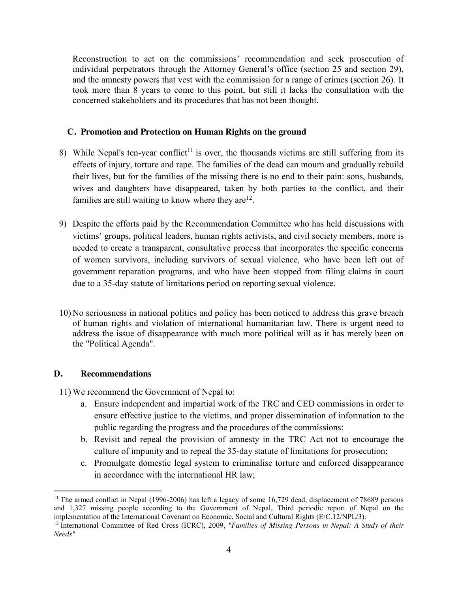Reconstruction to act on the commissions' recommendation and seek prosecution of individual perpetrators through the Attorney General's office (section 25 and section 29), and the amnesty powers that vest with the commission for a range of crimes (section 26). It took more than 8 years to come to this point, but still it lacks the consultation with the concerned stakeholders and its procedures that has not been thought.

# **C. Promotion and Protection on Human Rights on the ground**

- 8) While Nepal's ten-year conflict<sup>11</sup> is over, the thousands victims are still suffering from its effects of injury, torture and rape. The families of the dead can mourn and gradually rebuild their lives, but for the families of the missing there is no end to their pain: sons, husbands, wives and daughters have disappeared, taken by both parties to the conflict, and their families are still waiting to know where they  $are^{12}$ .
- 9) Despite the efforts paid by the Recommendation Committee who has held discussions with victims' groups, political leaders, human rights activists, and civil society members, more is needed to create a transparent, consultative process that incorporates the specific concerns of women survivors, including survivors of sexual violence, who have been left out of government reparation programs, and who have been stopped from filing claims in court due to a 35-day statute of limitations period on reporting sexual violence.
- 10) No seriousness in national politics and policy has been noticed to address this grave breach of human rights and violation of international humanitarian law. There is urgent need to address the issue of disappearance with much more political will as it has merely been on the "Political Agenda".

# **D. Recommendations**

- a. Ensure independent and impartial work of the TRC and CED commissions in order to ensure effective justice to the victims, and proper dissemination of information to the public regarding the progress and the procedures of the commissions;
- b. Revisit and repeal the provision of amnesty in the TRC Act not to encourage the culture of impunity and to repeal the 35-day statute of limitations for prosecution;
- c. Promulgate domestic legal system to criminalise torture and enforced disappearance in accordance with the international HR law;

<sup>&</sup>lt;sup>11</sup> The armed conflict in Nepal (1996-2006) has left a legacy of some 16,729 dead, displacement of 78689 persons and 1,327 missing people according to the Government of Nepal, Third periodic report of Nepal on the implementation of the International Covenant on Economic, Social and Cultural Rights (E/C.12/NPL/3).

<sup>&</sup>lt;sup>12</sup> International Committee of Red Cross (ICRC), 2009, "Families of Missing Persons in Nepal: A Study of their *Needs"*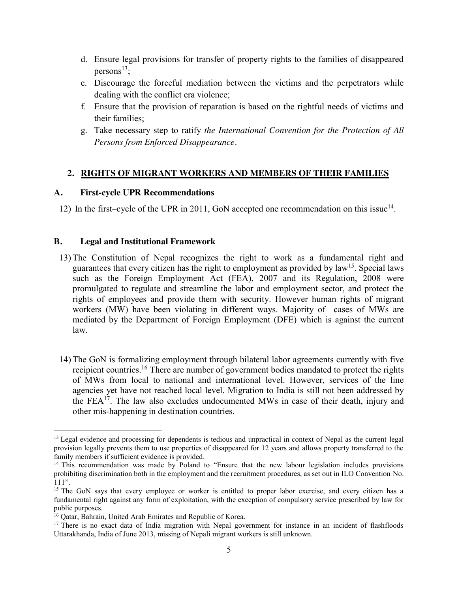- d. Ensure legal provisions for transfer of property rights to the families of disappeared persons $^{13}$ ;
- e. Discourage the forceful mediation between the victims and the perpetrators while dealing with the conflict era violence;
- f. Ensure that the provision of reparation is based on the rightful needs of victims and their families;
- g. Take necessary step to ratify *the International Convention for the Protection of All Persons from Enforced Disappearance.*

# **2. RIGHTS OF MIGRANT WORKERS AND MEMBERS OF THEIR FAMILIES**

### **A. First-cycle UPR Recommendations**

12) In the first–cycle of the UPR in 2011, GoN accepted one recommendation on this issue<sup>14</sup>.

### **B. Legal and Institutional Framework**

- 13) The Constitution of Nepal recognizes the right to work as a fundamental right and guarantees that every citizen has the right to employment as provided by  $law<sup>15</sup>$ . Special laws such as the Foreign Employment Act (FEA), 2007 and its Regulation, 2008 were promulgated to regulate and streamline the labor and employment sector, and protect the rights of employees and provide them with security. However human rights of migrant workers (MW) have been violating in different ways. Majority of cases of MWs are mediated by the Department of Foreign Employment (DFE) which is against the current law.
- 14) The GoN is formalizing employment through bilateral labor agreements currently with five recipient countries.<sup>16</sup> There are number of government bodies mandated to protect the rights of MWs from local to national and international level. However, services of the line agencies yet have not reached local level. Migration to India is still not been addressed by the  $FEA<sup>17</sup>$ . The law also excludes undocumented MWs in case of their death, injury and other mis-happening in destination countries.

<sup>&</sup>lt;sup>13</sup> Legal evidence and processing for dependents is tedious and unpractical in context of Nepal as the current legal provision legally prevents them to use properties of disappeared for 12 years and allows property transferred to the family members if sufficient evidence is provided.

 $14$  This recommendation was made by Poland to "Ensure that the new labour legislation includes provisions prohibiting discrimination both in the employment and the recruitment procedures, as set out in ILO Convention No. 111".

<sup>&</sup>lt;sup>15</sup> The GoN says that every employee or worker is entitled to proper labor exercise, and every citizen has a fundamental right against any form of exploitation, with the exception of compulsory service prescribed by law for public purposes.

<sup>&</sup>lt;sup>16</sup> Qatar, Bahrain, United Arab Emirates and Republic of Korea.

<sup>&</sup>lt;sup>17</sup> There is no exact data of India migration with Nepal government for instance in an incident of flashfloods Uttarakhanda, India of June 2013, missing of Nepali migrant workers is still unknown.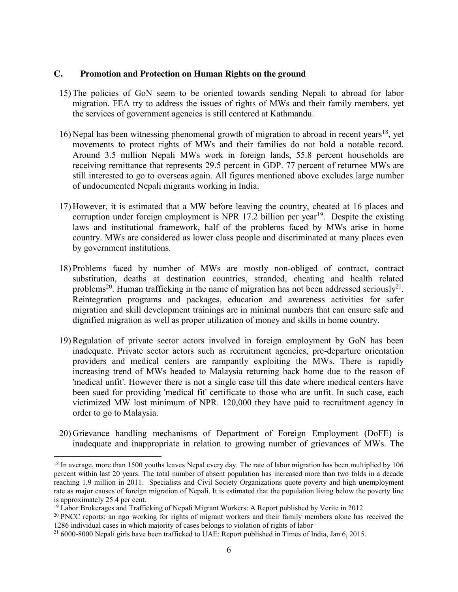- 15) The policies of GoN seem to be oriented towards sending Nepali to abroad for labor migration. FEA try to address the issues of rights of MWs and their family members, yet the services of government agencies is still centered at Kathmandu.
- 16) Nepal has been witnessing phenomenal growth of migration to abroad in recent years<sup>18</sup>, yet movements to protect rights of MWs and their families do not hold a notable record. Around 3.5 million Nepali MWs work in foreign lands, 55.8 percent households are receiving remittance that represents 29.5 percent in GDP. 77 percent of returnee MWs are still interested to go to overseas again. All figures mentioned above excludes large number of undocumented Nepali migrants working in India.
- 17) However, it is estimated that a MW before leaving the country, cheated at 16 places and corruption under foreign employment is NPR 17.2 billion per year<sup>19</sup>. Despite the existing laws and institutional framework, half of the problems faced by MWs arise in home country. MWs are considered as lower class people and discriminated at many places even by government institutions.
- 18) Problems faced by number of MWs are mostly non-obliged of contract, contract substitution, deaths at destination countries, stranded, cheating and health related problems<sup>20</sup>. Human trafficking in the name of migration has not been addressed seriously<sup>21</sup>. Reintegration programs and packages, education and awareness activities for safer migration and skill development trainings are in minimal numbers that can ensure safe and dignified migration as well as proper utilization of money and skills in home country.
- 19) Regulation of private sector actors involved in foreign employment by GoN has been inadequate. Private sector actors such as recruitment agencies, pre-departure orientation providers and medical centers are rampantly exploiting the MWs. There is rapidly increasing trend of MWs headed to Malaysia returning back home due to the reason of 'medical unfit'. However there is not a single case till this date where medical centers have been sued for providing 'medical fit' certificate to those who are unfit. In such case, each victimized MW lost minimum of NPR. 120,000 they have paid to recruitment agency in order to go to Malaysia.
- 20) Grievance handling mechanisms of Department of Foreign Employment (DoFE) is inadequate and inappropriate in relation to growing number of grievances of MWs. The

<sup>&</sup>lt;sup>18</sup> In average, more than 1500 youths leaves Nepal every day. The rate of labor migration has been multiplied by 106 percent within last 20 years. The total number of absent population has increased more than two folds in a decade reaching 1.9 million in 2011. Specialists and Civil Society Organizations quote poverty and high unemployment rate as major causes of foreign migration of Nepali. It is estimated that the population living below the poverty line is approximately 25.4 per cent.

 $19$  Labor Brokerages and Trafficking of Nepali Migrant Workers: A Report published by Verite in 2012

<sup>&</sup>lt;sup>20</sup> PNCC reports: an ngo working for rights of migrant workers and their family members alone has received the 1286 individual cases in which majority of cases belongs to violation of rights of labor

<sup>&</sup>lt;sup>21</sup> 6000-8000 Nepali girls have been trafficked to UAE: Report published in Times of India, Jan 6, 2015.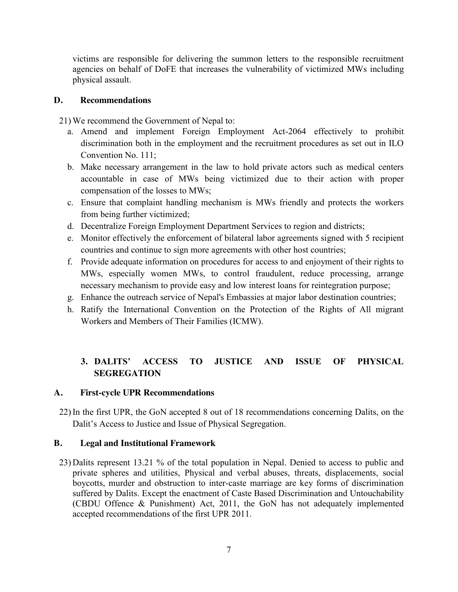victims are responsible for delivering the summon letters to the responsible recruitment agencies on behalf of DoFE that increases the vulnerability of victimized MWs including physical assault.

# **D. Recommendations**

21) We recommend the Government of Nepal to:

- a. Amend and implement Foreign Employment Act-2064 effectively to prohibit discrimination both in the employment and the recruitment procedures as set out in ILO Convention No. 111;
- b. Make necessary arrangement in the law to hold private actors such as medical centers accountable in case of MWs being victimized due to their action with proper compensation of the losses to MWs;
- c. Ensure that complaint handling mechanism is MWs friendly and protects the workers from being further victimized;
- d. Decentralize Foreign Employment Department Services to region and districts;
- e. Monitor effectively the enforcement of bilateral labor agreements signed with 5 recipient countries and continue to sign more agreements with other host countries;
- f. Provide adequate information on procedures for access to and enjoyment of their rights to MWs, especially women MWs, to control fraudulent, reduce processing, arrange necessary mechanism to provide easy and low interest loans for reintegration purpose;
- g. Enhance the outreach service of Nepal's Embassies at major labor destination countries;
- h. Ratify the International Convention on the Protection of the Rights of All migrant Workers and Members of Their Families (ICMW).

# **3. DALITS' ACCESS TO JUSTICE AND ISSUE OF PHYSICAL SEGREGATION**

# **A. First-cycle UPR Recommendations**

22) In the first UPR, the GoN accepted 8 out of 18 recommendations concerning Dalits, on the Dalit's Access to Justice and Issue of Physical Segregation.

# **B. Legal and Institutional Framework**

23) Dalits represent 13.21 % of the total population in Nepal. Denied to access to public and private spheres and utilities, Physical and verbal abuses, threats, displacements, social boycotts, murder and obstruction to inter-caste marriage are key forms of discrimination suffered by Dalits. Except the enactment of Caste Based Discrimination and Untouchability (CBDU Offence & Punishment) Act, 2011, the GoN has not adequately implemented accepted recommendations of the first UPR 2011.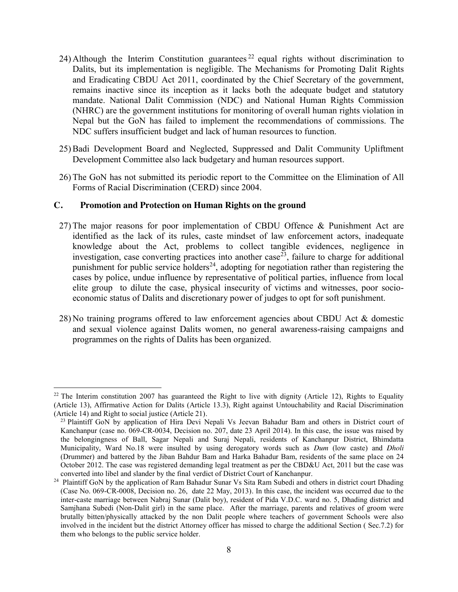- 24) Although the Interim Constitution guarantees  $^{22}$  equal rights without discrimination to Dalits, but its implementation is negligible. The Mechanisms for Promoting Dalit Rights and Eradicating CBDU Act 2011, coordinated by the Chief Secretary of the government, remains inactive since its inception as it lacks both the adequate budget and statutory mandate. National Dalit Commission (NDC) and National Human Rights Commission (NHRC) are the government institutions for monitoring of overall human rights violation in Nepal but the GoN has failed to implement the recommendations of commissions. The NDC suffers insufficient budget and lack of human resources to function.
- 25) Badi Development Board and Neglected, Suppressed and Dalit Community Upliftment Development Committee also lack budgetary and human resources support.
- 26) The GoN has not submitted its periodic report to the Committee on the Elimination of All Forms of Racial Discrimination (CERD) since 2004.

- 27) The major reasons for poor implementation of CBDU Offence & Punishment Act are identified as the lack of its rules, caste mindset of law enforcement actors, inadequate knowledge about the Act, problems to collect tangible evidences, negligence in investigation, case converting practices into another case<sup>23</sup>, failure to charge for additional punishment for public service holders<sup>24</sup>, adopting for negotiation rather than registering the cases by police, undue influence by representative of political parties, influence from local elite group to dilute the case, physical insecurity of victims and witnesses, poor socioeconomic status of Dalits and discretionary power of judges to opt for soft punishment.
- 28) No training programs offered to law enforcement agencies about CBDU Act & domestic and sexual violence against Dalits women, no general awareness-raising campaigns and programmes on the rights of Dalits has been organized.

<sup>&</sup>lt;sup>22</sup> The Interim constitution 2007 has guaranteed the Right to live with dignity (Article 12), Rights to Equality (Article 13), Affirmative Action for Dalits (Article 13.3), Right against Untouchability and Racial Discrimination (Article 14) and Right to social justice (Article 21). 23 Plaintiff GoN by application of Hira Devi Nepali Vs Jeevan Bahadur Bam and others in District court of

Kanchanpur (case no. 069-CR-0034, Decision no. 207, date 23 April 2014). In this case, the issue was raised by the belongingness of Ball, Sagar Nepali and Suraj Nepali, residents of Kanchanpur District, Bhimdatta Municipality, Ward No.18 were insulted by using derogatory words such as *Dum* (low caste) and *Dholi*  (Drummer) and battered by the Jiban Bahdur Bam and Harka Bahadur Bam, residents of the same place on 24 October 2012. The case was registered demanding legal treatment as per the CBD&U Act, 2011 but the case was converted into libel and slander by the final verdict of District Court of Kanchanpur. 24 Plaintiff GoN by the application of Ram Bahadur Sunar Vs Sita Ram Subedi and others in district court Dhading

<sup>(</sup>Case No. 069-CR-0008, Decision no. 26, date 22 May, 2013). In this case, the incident was occurred due to the inter-caste marriage between Nabraj Sunar (Dalit boy), resident of Pida V.D.C. ward no. 5, Dhading district and Samjhana Subedi (Non-Dalit girl) in the same place. After the marriage, parents and relatives of groom were brutally bitten/physically attacked by the non Dalit people where teachers of government Schools were also involved in the incident but the district Attorney officer has missed to charge the additional Section ( Sec.7.2) for them who belongs to the public service holder.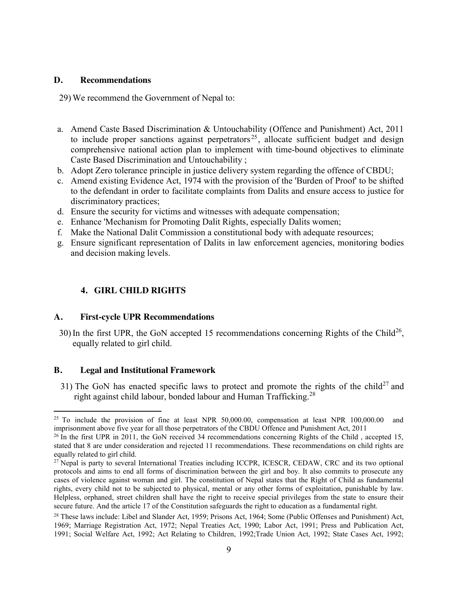#### **D. Recommendations**

29) We recommend the Government of Nepal to:

- a. Amend Caste Based Discrimination & Untouchability (Offence and Punishment) Act, 2011 to include proper sanctions against perpetrators<sup>25</sup>, allocate sufficient budget and design comprehensive national action plan to implement with time-bound objectives to eliminate Caste Based Discrimination and Untouchability ;
- b. Adopt Zero tolerance principle in justice delivery system regarding the offence of CBDU;
- c. Amend existing Evidence Act, 1974 with the provision of the 'Burden of Proof' to be shifted to the defendant in order to facilitate complaints from Dalits and ensure access to justice for discriminatory practices;
- d. Ensure the security for victims and witnesses with adequate compensation;
- e. Enhance 'Mechanism for Promoting Dalit Rights, especially Dalits women;
- f. Make the National Dalit Commission a constitutional body with adequate resources;
- g. Ensure significant representation of Dalits in law enforcement agencies, monitoring bodies and decision making levels.

# **4. GIRL CHILD RIGHTS**

#### **A. First-cycle UPR Recommendations**

30) In the first UPR, the GoN accepted 15 recommendations concerning Rights of the Child<sup>26</sup>, equally related to girl child.

#### **B. Legal and Institutional Framework**

31) The GoN has enacted specific laws to protect and promote the rights of the child<sup>27</sup> and right against child labour, bonded labour and Human Trafficking.<sup>28</sup>

<sup>&</sup>lt;sup>25</sup> To include the provision of fine at least NPR 50,000.00, compensation at least NPR  $100,000.00$  and imprisonment above five year for all those perpetrators of the CBDU Offence and Punishment Act, 2011

<sup>&</sup>lt;sup>26</sup> In the first UPR in 2011, the GoN received 34 recommendations concerning Rights of the Child, accepted 15, stated that 8 are under consideration and rejected 11 recommendations. These recommendations on child rights are equally related to girl child.

<sup>&</sup>lt;sup>27</sup> Nepal is party to several International Treaties including ICCPR, ICESCR, CEDAW, CRC and its two optional protocols and aims to end all forms of discrimination between the girl and boy. It also commits to prosecute any cases of violence against woman and girl. The constitution of Nepal states that the Right of Child as fundamental rights, every child not to be subjected to physical, mental or any other forms of exploitation, punishable by law. Helpless, orphaned, street children shall have the right to receive special privileges from the state to ensure their secure future. And the article 17 of the Constitution safeguards the right to education as a fundamental right.

<sup>&</sup>lt;sup>28</sup> These laws include: Libel and Slander Act, 1959; Prisons Act, 1964; Some (Public Offenses and Punishment) Act, 1969; Marriage Registration Act, 1972; Nepal Treaties Act, 1990; Labor Act, 1991; Press and Publication Act, 1991; Social Welfare Act, 1992; Act Relating to Children, 1992;Trade Union Act, 1992; State Cases Act, 1992;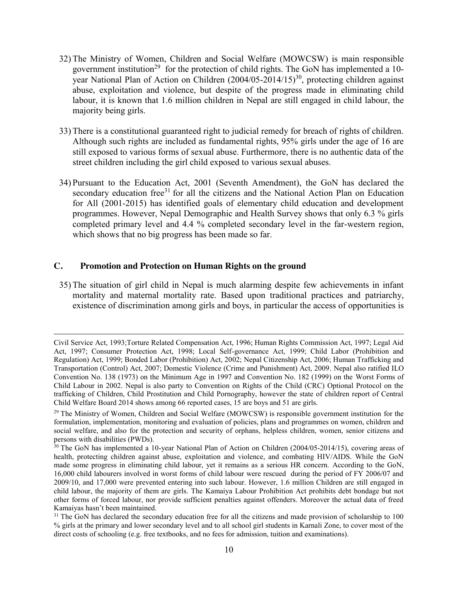- 32) The Ministry of Women, Children and Social Welfare (MOWCSW) is main responsible government institution<sup>29</sup> for the protection of child rights. The GoN has implemented a 10year National Plan of Action on Children  $(2004/05-2014/15)^{30}$ , protecting children against abuse, exploitation and violence, but despite of the progress made in eliminating child labour, it is known that 1.6 million children in Nepal are still engaged in child labour, the majority being girls.
- 33) There is a constitutional guaranteed right to judicial remedy for breach of rights of children. Although such rights are included as fundamental rights, 95% girls under the age of 16 are still exposed to various forms of sexual abuse. Furthermore, there is no authentic data of the street children including the girl child exposed to various sexual abuses.
- 34) Pursuant to the Education Act, 2001 (Seventh Amendment), the GoN has declared the secondary education free<sup>31</sup> for all the citizens and the National Action Plan on Education for All (2001-2015) has identified goals of elementary child education and development programmes. However, Nepal Demographic and Health Survey shows that only 6.3 % girls completed primary level and 4.4 % completed secondary level in the far-western region, which shows that no big progress has been made so far.

35) The situation of girl child in Nepal is much alarming despite few achievements in infant mortality and maternal mortality rate. Based upon traditional practices and patriarchy, existence of discrimination among girls and boys, in particular the access of opportunities is

Civil Service Act, 1993;Torture Related Compensation Act, 1996; Human Rights Commission Act, 1997; Legal Aid Act, 1997; Consumer Protection Act, 1998; Local Self-governance Act, 1999; Child Labor (Prohibition and Regulation) Act, 1999; Bonded Labor (Prohibition) Act, 2002; Nepal Citizenship Act, 2006; Human Trafficking and Transportation (Control) Act, 2007; Domestic Violence (Crime and Punishment) Act, 2009. Nepal also ratified ILO Convention No. 138 (1973) on the Minimum Age in 1997 and Convention No. 182 (1999) on the Worst Forms of Child Labour in 2002. Nepal is also party to Convention on Rights of the Child (CRC) Optional Protocol on the trafficking of Children, Child Prostitution and Child Pornography, however the state of children report of Central Child Welfare Board 2014 shows among 66 reported cases, 15 are boys and 51 are girls.

<sup>&</sup>lt;sup>29</sup> The Ministry of Women, Children and Social Welfare (MOWCSW) is responsible government institution for the formulation, implementation, monitoring and evaluation of policies, plans and programmes on women, children and social welfare, and also for the protection and security of orphans, helpless children, women, senior citizens and persons with disabilities (PWDs).

<sup>&</sup>lt;sup>30</sup> The GoN has implemented a 10-year National Plan of Action on Children (2004/05-2014/15), covering areas of health, protecting children against abuse, exploitation and violence, and combating HIV/AIDS. While the GoN made some progress in eliminating child labour, yet it remains as a serious HR concern. According to the GoN, 16,000 child labourers involved in worst forms of child labour were rescued during the period of FY 2006/07 and 2009/10, and 17,000 were prevented entering into such labour. However, 1.6 million Children are still engaged in child labour, the majority of them are girls. The Kamaiya Labour Prohibition Act prohibits debt bondage but not other forms of forced labour, nor provide sufficient penalties against offenders. Moreover the actual data of freed Kamaiyas hasn't been maintained.

<sup>&</sup>lt;sup>31</sup> The GoN has declared the secondary education free for all the citizens and made provision of scholarship to 100 % girls at the primary and lower secondary level and to all school girl students in Karnali Zone, to cover most of the direct costs of schooling (e.g. free textbooks, and no fees for admission, tuition and examinations).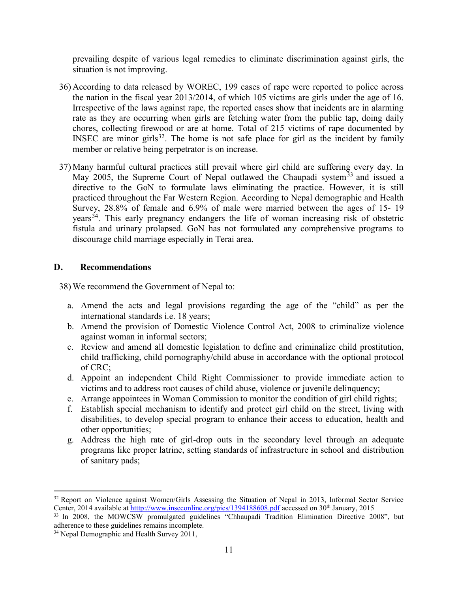prevailing despite of various legal remedies to eliminate discrimination against girls, the situation is not improving.

- 36) According to data released by WOREC, 199 cases of rape were reported to police across the nation in the fiscal year 2013/2014, of which 105 victims are girls under the age of 16. Irrespective of the laws against rape, the reported cases show that incidents are in alarming rate as they are occurring when girls are fetching water from the public tap, doing daily chores, collecting firewood or are at home. Total of 215 victims of rape documented by INSEC are minor girls $32$ . The home is not safe place for girl as the incident by family member or relative being perpetrator is on increase.
- 37) Many harmful cultural practices still prevail where girl child are suffering every day. In May 2005, the Supreme Court of Nepal outlawed the Chaupadi system  $33$  and issued a directive to the GoN to formulate laws eliminating the practice. However, it is still practiced throughout the Far Western Region. According to Nepal demographic and Health Survey, 28.8% of female and 6.9% of male were married between the ages of 15- 19 years<sup>34</sup>. This early pregnancy endangers the life of woman increasing risk of obstetric fistula and urinary prolapsed. GoN has not formulated any comprehensive programs to discourage child marriage especially in Terai area.

# **D. Recommendations**

- a. Amend the acts and legal provisions regarding the age of the "child" as per the international standards i.e. 18 years;
- b. Amend the provision of Domestic Violence Control Act, 2008 to criminalize violence against woman in informal sectors;
- c. Review and amend all domestic legislation to define and criminalize child prostitution, child trafficking, child pornography/child abuse in accordance with the optional protocol of CRC;
- d. Appoint an independent Child Right Commissioner to provide immediate action to victims and to address root causes of child abuse, violence or juvenile delinquency;
- e. Arrange appointees in Woman Commission to monitor the condition of girl child rights;
- f. Establish special mechanism to identify and protect girl child on the street, living with disabilities, to develop special program to enhance their access to education, health and other opportunities;
- g. Address the high rate of girl-drop outs in the secondary level through an adequate programs like proper latrine, setting standards of infrastructure in school and distribution of sanitary pads;

<sup>&</sup>lt;sup>32</sup> Report on Violence against Women/Girls Assessing the Situation of Nepal in 2013, Informal Sector Service Center, 2014 available at htttp://www.inseconline.org/pics/1394188608.pdf accessed on 30th January, 2015

<sup>&</sup>lt;sup>33</sup> In 2008, the MOWCSW promulgated guidelines "Chhaupadi Tradition Elimination Directive 2008", but adherence to these guidelines remains incomplete.

<sup>&</sup>lt;sup>34</sup> Nepal Demographic and Health Survey 2011,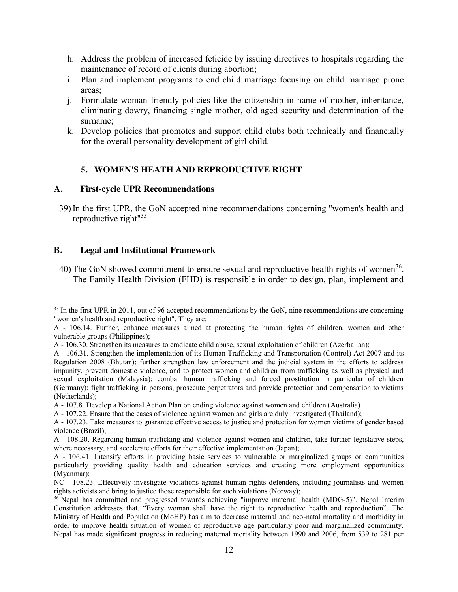- h. Address the problem of increased feticide by issuing directives to hospitals regarding the maintenance of record of clients during abortion;
- i. Plan and implement programs to end child marriage focusing on child marriage prone areas;
- j. Formulate woman friendly policies like the citizenship in name of mother, inheritance, eliminating dowry, financing single mother, old aged security and determination of the surname;
- k. Develop policies that promotes and support child clubs both technically and financially for the overall personality development of girl child.

# **5. WOMEN'S HEATH AND REPRODUCTIVE RIGHT**

# **A. First-cycle UPR Recommendations**

39) In the first UPR, the GoN accepted nine recommendations concerning "women's health and reproductive right"35.

# **B. Legal and Institutional Framework**

40) The GoN showed commitment to ensure sexual and reproductive health rights of women<sup>36</sup>. The Family Health Division (FHD) is responsible in order to design, plan, implement and

<sup>&</sup>lt;sup>35</sup> In the first UPR in 2011, out of 96 accepted recommendations by the GoN, nine recommendations are concerning "women's health and reproductive right". They are:

A - 106.14. Further, enhance measures aimed at protecting the human rights of children, women and other vulnerable groups (Philippines);

A - 106.30. Strengthen its measures to eradicate child abuse, sexual exploitation of children (Azerbaijan);

A - 106.31. Strengthen the implementation of its Human Trafficking and Transportation (Control) Act 2007 and its Regulation 2008 (Bhutan); further strengthen law enforcement and the judicial system in the efforts to address impunity, prevent domestic violence, and to protect women and children from trafficking as well as physical and sexual exploitation (Malaysia); combat human trafficking and forced prostitution in particular of children (Germany); fight trafficking in persons, prosecute perpetrators and provide protection and compensation to victims (Netherlands);

A - 107.8. Develop a National Action Plan on ending violence against women and children (Australia)

A - 107.22. Ensure that the cases of violence against women and girls are duly investigated (Thailand);

A - 107.23. Take measures to guarantee effective access to justice and protection for women victims of gender based violence (Brazil);

A - 108.20. Regarding human trafficking and violence against women and children, take further legislative steps, where necessary, and accelerate efforts for their effective implementation (Japan);

A - 106.41. Intensify efforts in providing basic services to vulnerable or marginalized groups or communities particularly providing quality health and education services and creating more employment opportunities (Myanmar);

NC - 108.23. Effectively investigate violations against human rights defenders, including journalists and women rights activists and bring to justice those responsible for such violations (Norway);

<sup>36</sup> Nepal has committed and progressed towards achieving "improve maternal health (MDG-5)". Nepal Interim Constitution addresses that, "Every woman shall have the right to reproductive health and reproduction". The Ministry of Health and Population (MoHP) has aim to decrease maternal and neo-natal mortality and morbidity in order to improve health situation of women of reproductive age particularly poor and marginalized community. Nepal has made significant progress in reducing maternal mortality between 1990 and 2006, from 539 to 281 per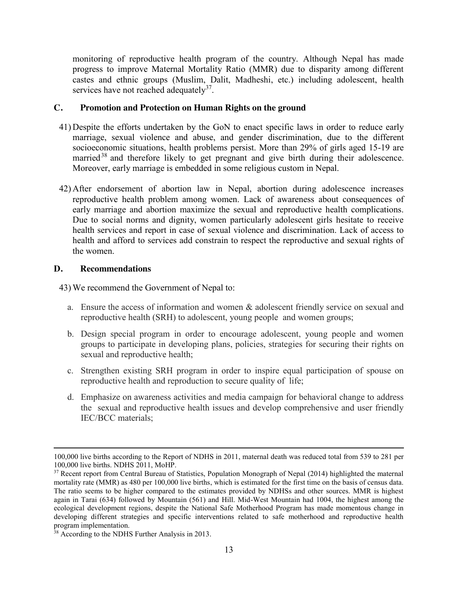monitoring of reproductive health program of the country. Although Nepal has made progress to improve Maternal Mortality Ratio (MMR) due to disparity among different castes and ethnic groups (Muslim, Dalit, Madheshi, etc.) including adolescent, health services have not reached adequately<sup>37</sup>.

### **C. Promotion and Protection on Human Rights on the ground**

- 41) Despite the efforts undertaken by the GoN to enact specific laws in order to reduce early marriage, sexual violence and abuse, and gender discrimination, due to the different socioeconomic situations, health problems persist. More than 29% of girls aged 15-19 are married<sup>38</sup> and therefore likely to get pregnant and give birth during their adolescence. Moreover, early marriage is embedded in some religious custom in Nepal.
- 42) After endorsement of abortion law in Nepal, abortion during adolescence increases reproductive health problem among women. Lack of awareness about consequences of early marriage and abortion maximize the sexual and reproductive health complications. Due to social norms and dignity, women particularly adolescent girls hesitate to receive health services and report in case of sexual violence and discrimination. Lack of access to health and afford to services add constrain to respect the reproductive and sexual rights of the women.

# **D. Recommendations**

 $\overline{a}$ 

- a. Ensure the access of information and women & adolescent friendly service on sexual and reproductive health (SRH) to adolescent, young people and women groups;
- b. Design special program in order to encourage adolescent, young people and women groups to participate in developing plans, policies, strategies for securing their rights on sexual and reproductive health;
- c. Strengthen existing SRH program in order to inspire equal participation of spouse on reproductive health and reproduction to secure quality of life;
- d. Emphasize on awareness activities and media campaign for behavioral change to address the sexual and reproductive health issues and develop comprehensive and user friendly IEC/BCC materials;

<sup>100,000</sup> live births according to the Report of NDHS in 2011, maternal death was reduced total from 539 to 281 per 100,000 live births. NDHS 2011, MoHP.

<sup>&</sup>lt;sup>37</sup> Recent report from Central Bureau of Statistics, Population Monograph of Nepal (2014) highlighted the maternal mortality rate (MMR) as 480 per 100,000 live births, which is estimated for the first time on the basis of census data. The ratio seems to be higher compared to the estimates provided by NDHSs and other sources. MMR is highest again in Tarai (634) followed by Mountain (561) and Hill. Mid-West Mountain had 1004, the highest among the ecological development regions, despite the National Safe Motherhood Program has made momentous change in developing different strategies and specific interventions related to safe motherhood and reproductive health<br>program implementation.

 $38$  According to the NDHS Further Analysis in 2013.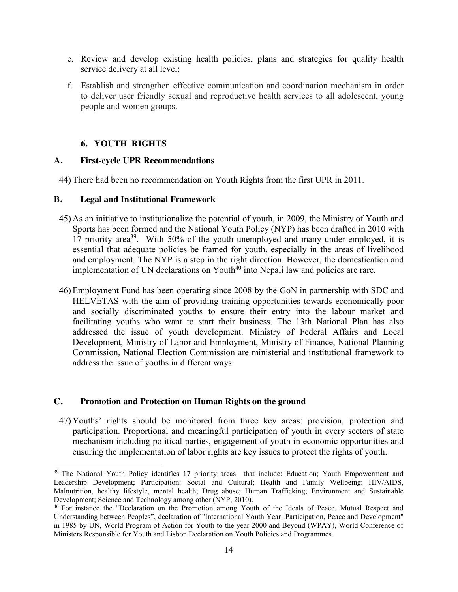- e. Review and develop existing health policies, plans and strategies for quality health service delivery at all level;
- f. Establish and strengthen effective communication and coordination mechanism in order to deliver user friendly sexual and reproductive health services to all adolescent, young people and women groups.

# **6. YOUTH RIGHTS**

#### **A. First-cycle UPR Recommendations**

44) There had been no recommendation on Youth Rights from the first UPR in 2011.

#### **B. Legal and Institutional Framework**

- 45) As an initiative to institutionalize the potential of youth, in 2009, the Ministry of Youth and Sports has been formed and the National Youth Policy (NYP) has been drafted in 2010 with 17 priority area39. With 50% of the youth unemployed and many under-employed, it is essential that adequate policies be framed for youth, especially in the areas of livelihood and employment. The NYP is a step in the right direction. However, the domestication and implementation of UN declarations on Youth<sup> $40$ </sup> into Nepali law and policies are rare.
- 46) Employment Fund has been operating since 2008 by the GoN in partnership with SDC and HELVETAS with the aim of providing training opportunities towards economically poor and socially discriminated youths to ensure their entry into the labour market and facilitating youths who want to start their business. The 13th National Plan has also addressed the issue of youth development. Ministry of Federal Affairs and Local Development, Ministry of Labor and Employment, Ministry of Finance, National Planning Commission, National Election Commission are ministerial and institutional framework to address the issue of youths in different ways.

### **C. Promotion and Protection on Human Rights on the ground**

47) Youths' rights should be monitored from three key areas: provision, protection and participation. Proportional and meaningful participation of youth in every sectors of state mechanism including political parties, engagement of youth in economic opportunities and ensuring the implementation of labor rights are key issues to protect the rights of youth.

<sup>&</sup>lt;sup>39</sup> The National Youth Policy identifies 17 priority areas that include: Education; Youth Empowerment and Leadership Development; Participation: Social and Cultural; Health and Family Wellbeing: HIV/AIDS, Malnutrition, healthy lifestyle, mental health; Drug abuse; Human Trafficking; Environment and Sustainable Development; Science and Technology among other (NYP, 2010).

<sup>40</sup> For instance the "Declaration on the Promotion among Youth of the Ideals of Peace, Mutual Respect and Understanding between Peoples", declaration of "International Youth Year: Participation, Peace and Development" in 1985 by UN, World Program of Action for Youth to the year 2000 and Beyond (WPAY), World Conference of Ministers Responsible for Youth and Lisbon Declaration on Youth Policies and Programmes.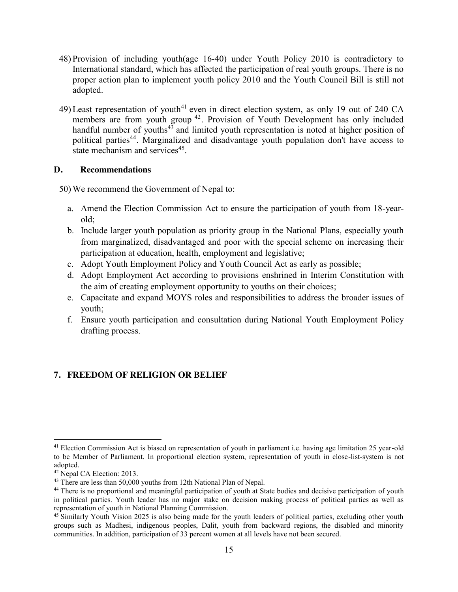- 48) Provision of including youth(age 16-40) under Youth Policy 2010 is contradictory to International standard, which has affected the participation of real youth groups. There is no proper action plan to implement youth policy 2010 and the Youth Council Bill is still not adopted.
- 49) Least representation of youth<sup>41</sup> even in direct election system, as only 19 out of 240 CA members are from youth group <sup>42</sup>. Provision of Youth Development has only included handful number of youths<sup>43</sup> and limited youth representation is noted at higher position of political parties<sup>44</sup>. Marginalized and disadvantage youth population don't have access to state mechanism and services<sup>45</sup>.

# **D. Recommendations**

50) We recommend the Government of Nepal to:

- a. Amend the Election Commission Act to ensure the participation of youth from 18-yearold;
- b. Include larger youth population as priority group in the National Plans, especially youth from marginalized, disadvantaged and poor with the special scheme on increasing their participation at education, health, employment and legislative;
- c. Adopt Youth Employment Policy and Youth Council Act as early as possible;
- d. Adopt Employment Act according to provisions enshrined in Interim Constitution with the aim of creating employment opportunity to youths on their choices;
- e. Capacitate and expand MOYS roles and responsibilities to address the broader issues of youth;
- f. Ensure youth participation and consultation during National Youth Employment Policy drafting process.

# **7. FREEDOM OF RELIGION OR BELIEF**

<sup>&</sup>lt;sup>41</sup> Election Commission Act is biased on representation of youth in parliament i.e. having age limitation 25 year-old to be Member of Parliament. In proportional election system, representation of youth in close-list-system is not adopted.

<sup>&</sup>lt;sup>42</sup> Nepal CA Election: 2013.<br><sup>43</sup> There are less than 50,000 youths from 12th National Plan of Nepal.

<sup>&</sup>lt;sup>44</sup> There is no proportional and meaningful participation of youth at State bodies and decisive participation of youth in political parties. Youth leader has no major stake on decision making process of political parties as well as representation of youth in National Planning Commission.

 $45$  Similarly Youth Vision 2025 is also being made for the youth leaders of political parties, excluding other youth groups such as Madhesi, indigenous peoples, Dalit, youth from backward regions, the disabled and minority communities. In addition, participation of 33 percent women at all levels have not been secured.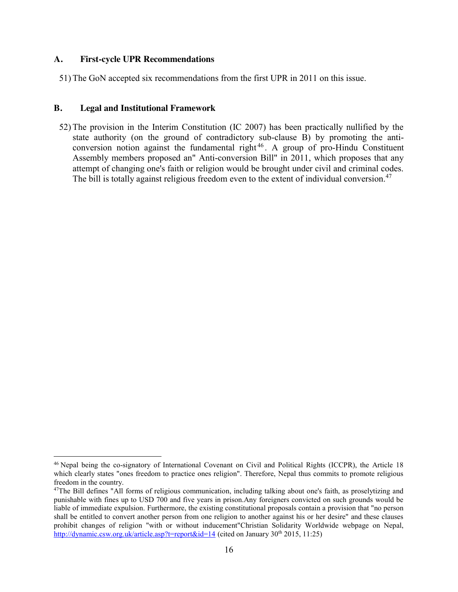### **A. First-cycle UPR Recommendations**

51) The GoN accepted six recommendations from the first UPR in 2011 on this issue.

### **B. Legal and Institutional Framework**

52) The provision in the Interim Constitution (IC 2007) has been practically nullified by the state authority (on the ground of contradictory sub-clause B) by promoting the anticonversion notion against the fundamental right <sup>46</sup> . A group of pro-Hindu Constituent Assembly members proposed an" Anti-conversion Bill" in 2011, which proposes that any attempt of changing one's faith or religion would be brought under civil and criminal codes. The bill is totally against religious freedom even to the extent of individual conversion.<sup>47</sup>

 <sup>46</sup> Nepal being the co-signatory of International Covenant on Civil and Political Rights (ICCPR), the Article 18 which clearly states "ones freedom to practice ones religion". Therefore, Nepal thus commits to promote religious freedom in the country.

<sup>47</sup>The Bill defines "All forms of religious communication, including talking about one's faith, as proselytizing and punishable with fines up to USD 700 and five years in prison.Any foreigners convicted on such grounds would be liable of immediate expulsion. Furthermore, the existing constitutional proposals contain a provision that "no person shall be entitled to convert another person from one religion to another against his or her desire" and these clauses prohibit changes of religion "with or without inducement"Christian Solidarity Worldwide webpage on Nepal, http://dynamic.csw.org.uk/article.asp?t=report&id=14 (cited on January 30<sup>th</sup> 2015, 11:25)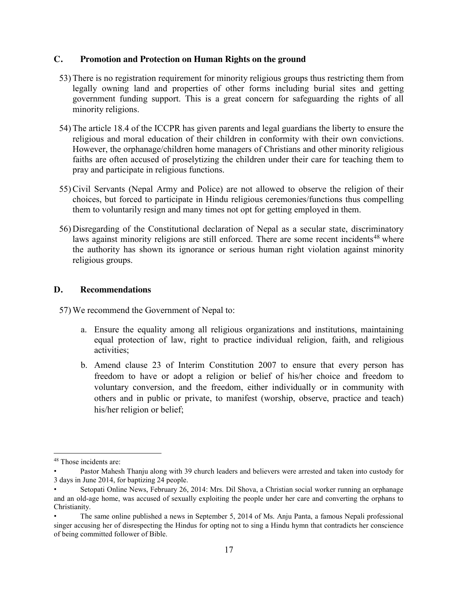- 53) There is no registration requirement for minority religious groups thus restricting them from legally owning land and properties of other forms including burial sites and getting government funding support. This is a great concern for safeguarding the rights of all minority religions.
- 54) The article 18.4 of the ICCPR has given parents and legal guardians the liberty to ensure the religious and moral education of their children in conformity with their own convictions. However, the orphanage/children home managers of Christians and other minority religious faiths are often accused of proselytizing the children under their care for teaching them to pray and participate in religious functions.
- 55) Civil Servants (Nepal Army and Police) are not allowed to observe the religion of their choices, but forced to participate in Hindu religious ceremonies/functions thus compelling them to voluntarily resign and many times not opt for getting employed in them.
- 56) Disregarding of the Constitutional declaration of Nepal as a secular state, discriminatory laws against minority religions are still enforced. There are some recent incidents<sup>48</sup> where the authority has shown its ignorance or serious human right violation against minority religious groups.

### **D. Recommendations**

- a. Ensure the equality among all religious organizations and institutions, maintaining equal protection of law, right to practice individual religion, faith, and religious activities;
- b. Amend clause 23 of Interim Constitution 2007 to ensure that every person has freedom to have or adopt a religion or belief of his/her choice and freedom to voluntary conversion, and the freedom, either individually or in community with others and in public or private, to manifest (worship, observe, practice and teach) his/her religion or belief;

 <sup>48</sup> Those incidents are:

<sup>•</sup> Pastor Mahesh Thanju along with 39 church leaders and believers were arrested and taken into custody for 3 days in June 2014, for baptizing 24 people.

<sup>•</sup> Setopati Online News, February 26, 2014: Mrs. Dil Shova, a Christian social worker running an orphanage and an old-age home, was accused of sexually exploiting the people under her care and converting the orphans to Christianity.

<sup>•</sup> The same online published a news in September 5, 2014 of Ms. Anju Panta, a famous Nepali professional singer accusing her of disrespecting the Hindus for opting not to sing a Hindu hymn that contradicts her conscience of being committed follower of Bible.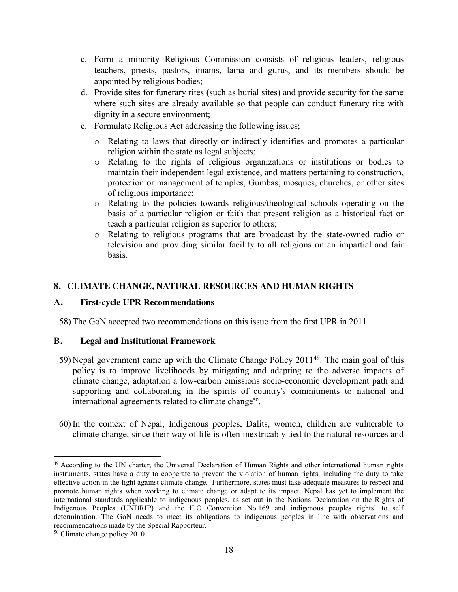- c. Form a minority Religious Commission consists of religious leaders, religious teachers, priests, pastors, imams, lama and gurus, and its members should be appointed by religious bodies;
- d. Provide sites for funerary rites (such as burial sites) and provide security for the same where such sites are already available so that people can conduct funerary rite with dignity in a secure environment;
- e. Formulate Religious Act addressing the following issues;
	- o Relating to laws that directly or indirectly identifies and promotes a particular religion within the state as legal subjects;
	- o Relating to the rights of religious organizations or institutions or bodies to maintain their independent legal existence, and matters pertaining to construction, protection or management of temples, Gumbas, mosques, churches, or other sites of religious importance;
	- o Relating to the policies towards religious/theological schools operating on the basis of a particular religion or faith that present religion as a historical fact or teach a particular religion as superior to others;
	- o Relating to religious programs that are broadcast by the state-owned radio or television and providing similar facility to all religions on an impartial and fair basis.

# **8. CLIMATE CHANGE, NATURAL RESOURCES AND HUMAN RIGHTS**

# **A. First-cycle UPR Recommendations**

58) The GoN accepted two recommendations on this issue from the first UPR in 2011.

# **B. Legal and Institutional Framework**

- 59) Nepal government came up with the Climate Change Policy 201149. The main goal of this policy is to improve livelihoods by mitigating and adapting to the adverse impacts of climate change, adaptation a low-carbon emissions socio-economic development path and supporting and collaborating in the spirits of country's commitments to national and international agreements related to climate change<sup>50</sup>.
- 60) In the context of Nepal, Indigenous peoples, Dalits, women, children are vulnerable to climate change, since their way of life is often inextricably tied to the natural resources and

<sup>&</sup>lt;sup>49</sup> According to the UN charter, the Universal Declaration of Human Rights and other international human rights instruments, states have a duty to cooperate to prevent the violation of human rights, including the duty to take effective action in the fight against climate change. Furthermore, states must take adequate measures to respect and promote human rights when working to climate change or adapt to its impact. Nepal has yet to implement the international standards applicable to indigenous peoples, as set out in the Nations Declaration on the Rights of Indigenous Peoples (UNDRIP) and the ILO Convention No.169 and indigenous peoples rights' to self determination. The GoN needs to meet its obligations to indigenous peoples in line with observations and recommendations made by the Special Rapporteur.

<sup>50</sup> Climate change policy 2010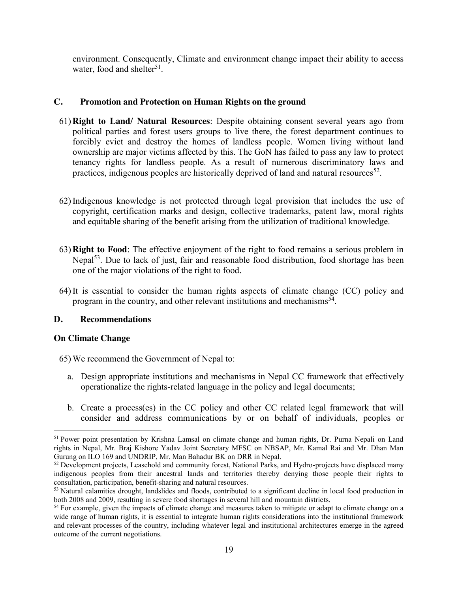environment. Consequently, Climate and environment change impact their ability to access water, food and shelter<sup>51</sup>.

# **C. Promotion and Protection on Human Rights on the ground**

- 61) **Right to Land/ Natural Resources**: Despite obtaining consent several years ago from political parties and forest users groups to live there, the forest department continues to forcibly evict and destroy the homes of landless people. Women living without land ownership are major victims affected by this. The GoN has failed to pass any law to protect tenancy rights for landless people. As a result of numerous discriminatory laws and practices, indigenous peoples are historically deprived of land and natural resources<sup>52</sup>.
- 62) Indigenous knowledge is not protected through legal provision that includes the use of copyright, certification marks and design, collective trademarks, patent law, moral rights and equitable sharing of the benefit arising from the utilization of traditional knowledge.
- 63) **Right to Food**: The effective enjoyment of the right to food remains a serious problem in Nepal<sup>53</sup>. Due to lack of just, fair and reasonable food distribution, food shortage has been one of the major violations of the right to food.
- 64) It is essential to consider the human rights aspects of climate change (CC) policy and program in the country, and other relevant institutions and mechanisms<sup>54</sup>.

# **D. Recommendations**

### **On Climate Change**

- 65) We recommend the Government of Nepal to:
	- a. Design appropriate institutions and mechanisms in Nepal CC framework that effectively operationalize the rights-related language in the policy and legal documents;
	- b. Create a process(es) in the CC policy and other CC related legal framework that will consider and address communications by or on behalf of individuals, peoples or

 <sup>51</sup> Power point presentation by Krishna Lamsal on climate change and human rights, Dr. Purna Nepali on Land rights in Nepal, Mr. Braj Kishore Yadav Joint Secretary MFSC on NBSAP, Mr. Kamal Rai and Mr. Dhan Man Gurung on ILO 169 and UNDRIP, Mr. Man Bahadur BK on DRR in Nepal.

<sup>&</sup>lt;sup>52</sup> Development projects, Leasehold and community forest, National Parks, and Hydro-projects have displaced many indigenous peoples from their ancestral lands and territories thereby denying those people their rights to consultation, participation, benefit-sharing and natural resources.

<sup>&</sup>lt;sup>53</sup> Natural calamities drought, landslides and floods, contributed to a significant decline in local food production in both 2008 and 2009, resulting in severe food shortages in several hill and mountain districts.

<sup>&</sup>lt;sup>54</sup> For example, given the impacts of climate change and measures taken to mitigate or adapt to climate change on a wide range of human rights, it is essential to integrate human rights considerations into the institutional framework and relevant processes of the country, including whatever legal and institutional architectures emerge in the agreed outcome of the current negotiations.